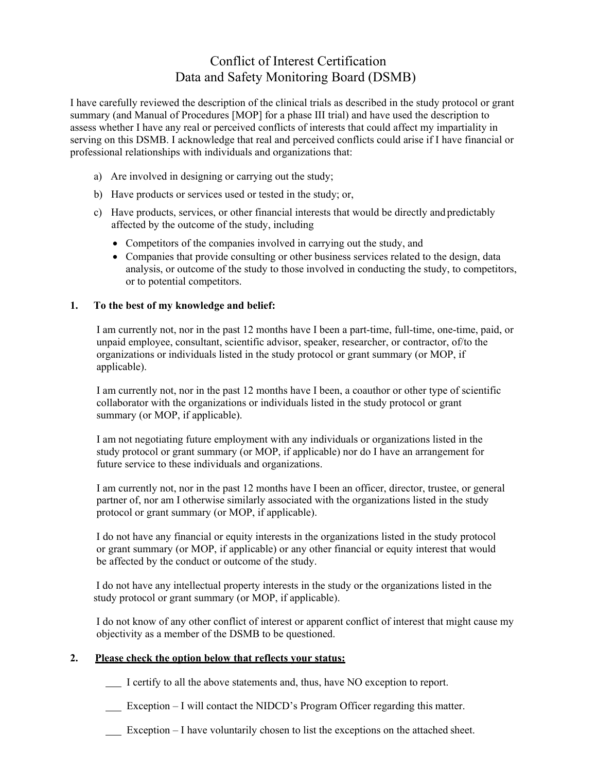# Conflict of Interest Certification Data and Safety Monitoring Board (DSMB)

I have carefully reviewed the description of the clinical trials as described in the study protocol or grant summary (and Manual of Procedures [MOP] for a phase III trial) and have used the description to assess whether I have any real or perceived conflicts of interests that could affect my impartiality in serving on this DSMB. I acknowledge that real and perceived conflicts could arise if I have financial or professional relationships with individuals and organizations that:

- a) Are involved in designing or carrying out the study;
- b) Have products or services used or tested in the study; or,
- c) Have products, services, or other financial interests that would be directly and predictably affected by the outcome of the study, including
	- Competitors of the companies involved in carrying out the study, and
	- Companies that provide consulting or other business services related to the design, data analysis, or outcome of the study to those involved in conducting the study, to competitors, or to potential competitors.

#### **1. To the best of my knowledge and belief:**

I am currently not, nor in the past 12 months have I been a part-time, full-time, one-time, paid, or unpaid employee, consultant, scientific advisor, speaker, researcher, or contractor, of/to the organizations or individuals listed in the study protocol or grant summary (or MOP, if applicable).

I am currently not, nor in the past 12 months have I been, a coauthor or other type of scientific collaborator with the organizations or individuals listed in the study protocol or grant summary (or MOP, if applicable).

I am not negotiating future employment with any individuals or organizations listed in the study protocol or grant summary (or MOP, if applicable) nor do I have an arrangement for future service to these individuals and organizations.

I am currently not, nor in the past 12 months have I been an officer, director, trustee, or general partner of, nor am I otherwise similarly associated with the organizations listed in the study protocol or grant summary (or MOP, if applicable).

I do not have any financial or equity interests in the organizations listed in the study protocol or grant summary (or MOP, if applicable) or any other financial or equity interest that would be affected by the conduct or outcome of the study.

I do not have any intellectual property interests in the study or the organizations listed in the study protocol or grant summary (or MOP, if applicable).

I do not know of any other conflict of interest or apparent conflict of interest that might cause my objectivity as a member of the DSMB to be questioned.

#### **2. Please check the option below that reflects your status:**

- I certify to all the above statements and, thus, have NO exception to report.
- Exception I will contact the NIDCD's Program Officer regarding this matter.
- Exception I have voluntarily chosen to list the exceptions on the attached sheet.